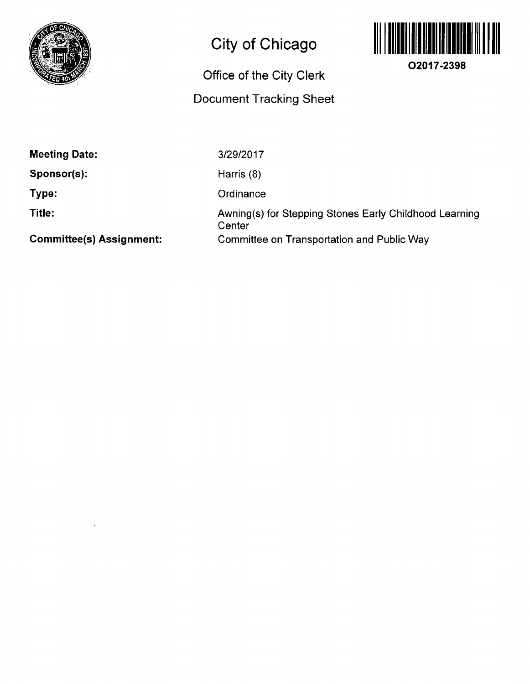

## **City of Chicago**

# **Office of the City Clerk**

### **Document Tracking Sheet**



**02017-2398** 

**Meeting Date:** 

**Sponsor(s):** 

**Type:** 

**Title:** 

**Connmittee(s) Assignment:** 

3/29/2017

Harris (8)

**Ordinance** 

Awning(s) for Stepping Stones Early Childhood Learning **Center** Connmittee on Transportation and Public Way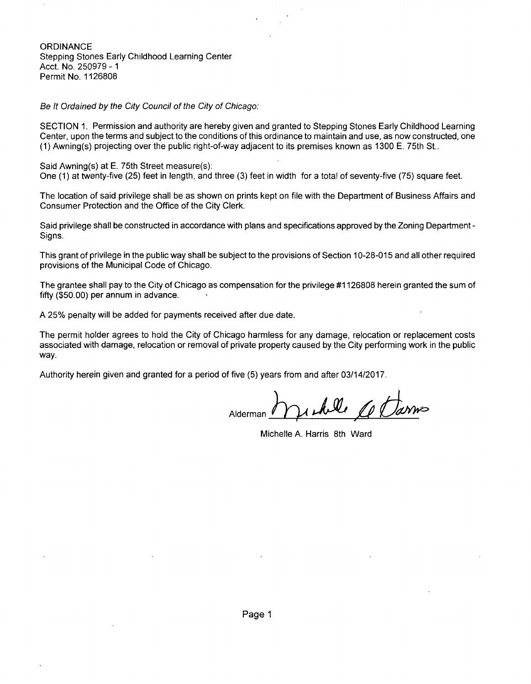ORDINANCE Stepping Stones Early Childhood Learning Center Acct. No. 250979 -1 Permit No: 1126808

Be It Ordained by the City Council of the City of Chicago:

SECTION 1. Permission and authority are hereby given and granted to Stepping Stones Early Childhood Learning Center, upon the terms and subject to the conditions ofthis ordinance to maintain and use, as now constructed, one (1) Awning(s) projecting over the public right-of-way adjacent to its premises known as 1300 E. 75th St..

Said Awning(s) at E. 75th Street measure(s): One (1) at twenty-five (25) feet in length, and three (3) feet in width for a total of seventy-five (75) square feet.

The location of said privilege shall be as shown on prints kept on file with the Department of Business Affairs and Consumer Protection and the Office of the City Clerk.

Said privilege shall be constructed in accordance with plans and specifications approved by the Zoning Department - Signs.

This grant of privilege in the public way shall be subject to the provisions of Section 10-28-015 and all other required provisions of the Municipal Code of Chicago.

The grantee shall pay to the City of Chicago as compensation for the privilege #1126808 herein granted the sum of fifty (\$50.00) per annum in advance.

A 25% penalty will be added for payments received after due date.

The permit holder agrees to hold the City of Chicago harmless for any damage, relocation or replacement costs associated with damage, relocation or removal of private property caused by the City performing work in the public way.

Authority herein given and granted for a period of five (5) years from and after 03/14/2017.

Alderman

Michelle A. Harris 8th Ward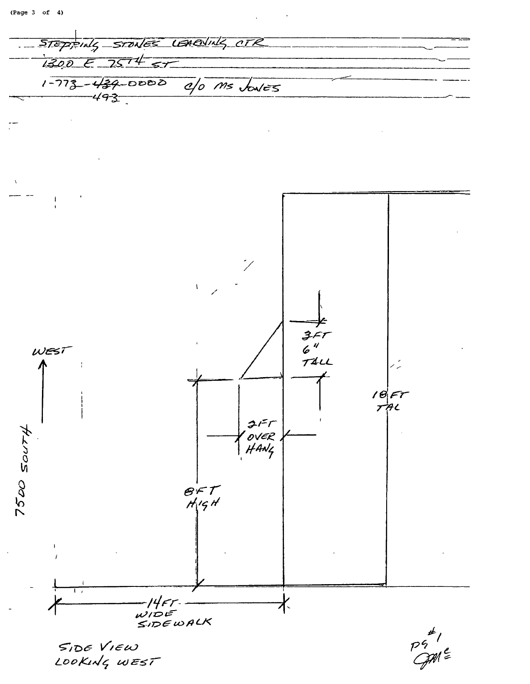STEPPING STONES LEARNING CTR  $1300E757457$  $1-773-439-0000$  a/o  $ms$  bales  $\mathbf i$  $357$ <br> $6$ <sup>4</sup><br> $741$ WEST  $18 FT$  $215$  $7500$  SOUTH OVER<br>HANG  $\overline{\mathcal{B}}$ FT<br>H<sub>19</sub>H  $14$  $57$ 水 WIDE<br>SIDEWALK  $\frac{p}{q}$ SIDE VIEW LOOKING WEST